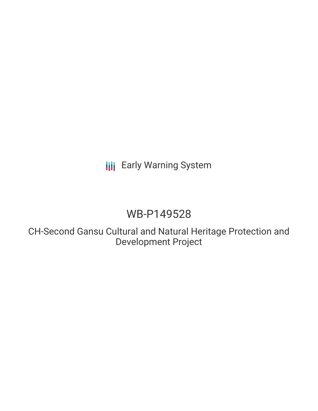# **III** Early Warning System

# WB-P149528

CH-Second Gansu Cultural and Natural Heritage Protection and Development Project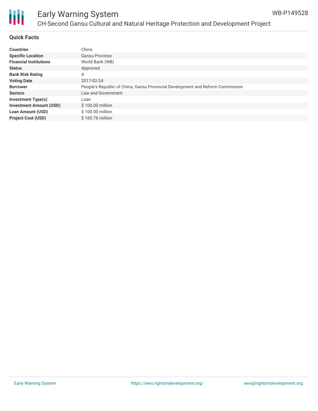

# Ш

# Early Warning System CH-Second Gansu Cultural and Natural Heritage Protection and Development Project

#### **Quick Facts**

| <b>Countries</b>               | China                                                                          |
|--------------------------------|--------------------------------------------------------------------------------|
| <b>Specific Location</b>       | Gansu Province                                                                 |
| <b>Financial Institutions</b>  | World Bank (WB)                                                                |
| <b>Status</b>                  | Approved                                                                       |
| <b>Bank Risk Rating</b>        | A                                                                              |
| <b>Voting Date</b>             | 2017-02-24                                                                     |
| <b>Borrower</b>                | People's Republic of China, Gansu Provincial Development and Reform Commission |
| <b>Sectors</b>                 | Law and Government                                                             |
| <b>Investment Type(s)</b>      | Loan                                                                           |
| <b>Investment Amount (USD)</b> | \$100.00 million                                                               |
| <b>Loan Amount (USD)</b>       | \$100.00 million                                                               |
| <b>Project Cost (USD)</b>      | \$160.76 million                                                               |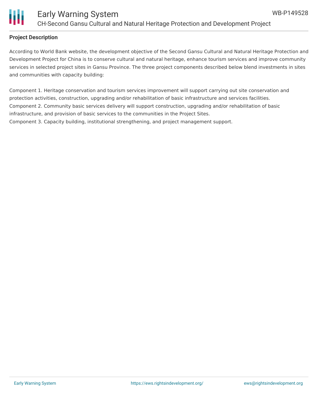

#### **Project Description**

According to World Bank website, the development objective of the Second Gansu Cultural and Natural Heritage Protection and Development Project for China is to conserve cultural and natural heritage, enhance tourism services and improve community services in selected project sites in Gansu Province. The three project components described below blend investments in sites and communities with capacity building:

Component 1. Heritage conservation and tourism services improvement will support carrying out site conservation and protection activities, construction, upgrading and/or rehabilitation of basic infrastructure and services facilities. Component 2. Community basic services delivery will support construction, upgrading and/or rehabilitation of basic infrastructure, and provision of basic services to the communities in the Project Sites. Component 3. Capacity building, institutional strengthening, and project management support.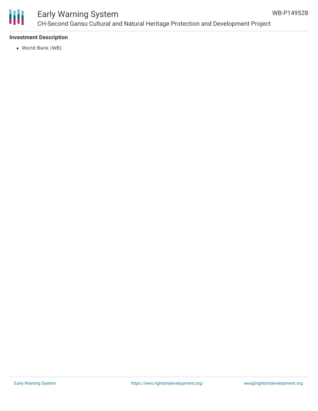

# Early Warning System CH-Second Gansu Cultural and Natural Heritage Protection and Development Project

### **Investment Description**

World Bank (WB)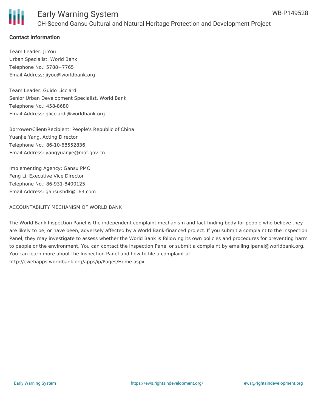## **Contact Information**

Team Leader: Ji You Urban Specialist, World Bank Telephone No.: 5788+7765 Email Address: jiyou@worldbank.org

Team Leader: Guido Licciardi Senior Urban Development Specialist, World Bank Telephone No.: 458-8680 Email Address: glicciardi@worldbank.org

Borrower/Client/Recipient: People's Republic of China Yuanjie Yang, Acting Director Telephone No.: 86-10-68552836 Email Address: yangyuanjie@mof.gov.cn

Implementing Agency: Gansu PMO Feng Li, Executive Vice Director Telephone No.: 86-931-8400125 Email Address: gansushdk@163.com

## ACCOUNTABILITY MECHANISM OF WORLD BANK

The World Bank Inspection Panel is the independent complaint mechanism and fact-finding body for people who believe they are likely to be, or have been, adversely affected by a World Bank-financed project. If you submit a complaint to the Inspection Panel, they may investigate to assess whether the World Bank is following its own policies and procedures for preventing harm to people or the environment. You can contact the Inspection Panel or submit a complaint by emailing ipanel@worldbank.org. You can learn more about the Inspection Panel and how to file a complaint at: http://ewebapps.worldbank.org/apps/ip/Pages/Home.aspx.